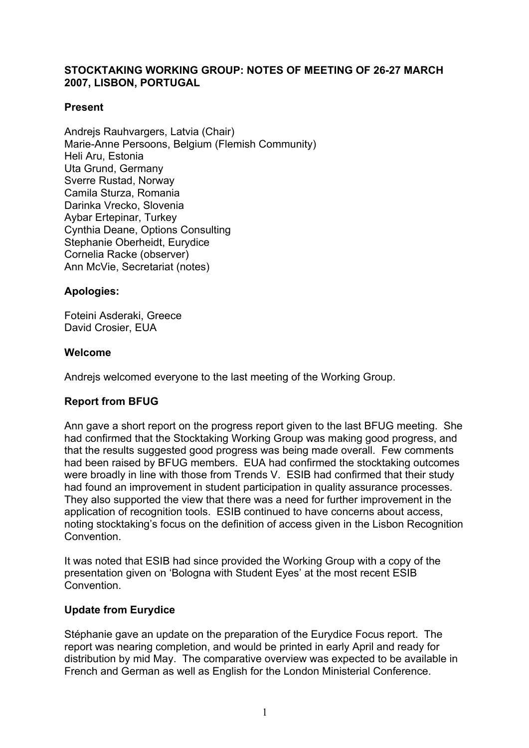# **STOCKTAKING WORKING GROUP: NOTES OF MEETING OF 26-27 MARCH 2007, LISBON, PORTUGAL**

### **Present**

Andreis Rauhvargers, Latvia (Chair) Marie-Anne Persoons, Belgium (Flemish Community) Heli Aru, Estonia Uta Grund, Germany Sverre Rustad, Norway Camila Sturza, Romania Darinka Vrecko, Slovenia Aybar Ertepinar, Turkey Cynthia Deane, Options Consulting Stephanie Oberheidt, Eurydice Cornelia Racke (observer) Ann McVie, Secretariat (notes)

### **Apologies:**

Foteini Asderaki, Greece David Crosier, EUA

#### **Welcome**

Andrejs welcomed everyone to the last meeting of the Working Group.

# **Report from BFUG**

Ann gave a short report on the progress report given to the last BFUG meeting. She had confirmed that the Stocktaking Working Group was making good progress, and that the results suggested good progress was being made overall. Few comments had been raised by BFUG members. EUA had confirmed the stocktaking outcomes were broadly in line with those from Trends V. ESIB had confirmed that their study had found an improvement in student participation in quality assurance processes. They also supported the view that there was a need for further improvement in the application of recognition tools. ESIB continued to have concerns about access, noting stocktaking's focus on the definition of access given in the Lisbon Recognition **Convention** 

It was noted that ESIB had since provided the Working Group with a copy of the presentation given on 'Bologna with Student Eyes' at the most recent ESIB Convention.

#### **Update from Eurydice**

Stéphanie gave an update on the preparation of the Eurydice Focus report. The report was nearing completion, and would be printed in early April and ready for distribution by mid May. The comparative overview was expected to be available in French and German as well as English for the London Ministerial Conference.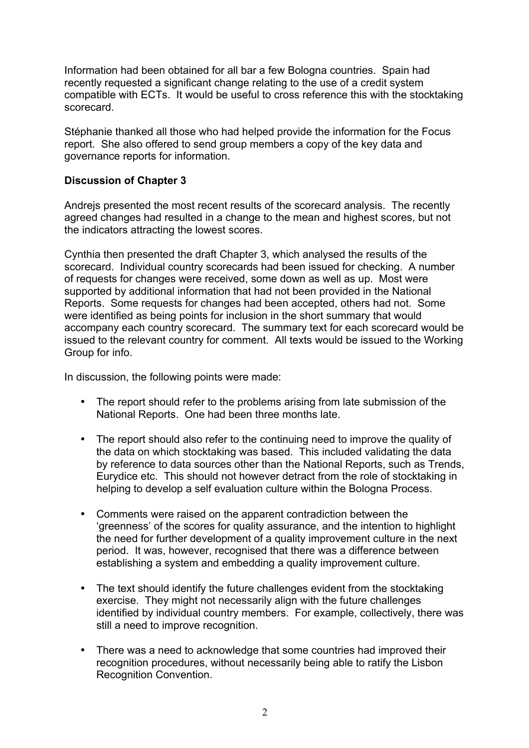Information had been obtained for all bar a few Bologna countries. Spain had recently requested a significant change relating to the use of a credit system compatible with ECTs. It would be useful to cross reference this with the stocktaking scorecard.

Stéphanie thanked all those who had helped provide the information for the Focus report. She also offered to send group members a copy of the key data and governance reports for information.

### **Discussion of Chapter 3**

Andrejs presented the most recent results of the scorecard analysis. The recently agreed changes had resulted in a change to the mean and highest scores, but not the indicators attracting the lowest scores.

Cynthia then presented the draft Chapter 3, which analysed the results of the scorecard. Individual country scorecards had been issued for checking. A number of requests for changes were received, some down as well as up. Most were supported by additional information that had not been provided in the National Reports. Some requests for changes had been accepted, others had not. Some were identified as being points for inclusion in the short summary that would accompany each country scorecard. The summary text for each scorecard would be issued to the relevant country for comment. All texts would be issued to the Working Group for info.

In discussion, the following points were made:

- The report should refer to the problems arising from late submission of the National Reports. One had been three months late.
- The report should also refer to the continuing need to improve the quality of the data on which stocktaking was based. This included validating the data by reference to data sources other than the National Reports, such as Trends, Eurydice etc. This should not however detract from the role of stocktaking in helping to develop a self evaluation culture within the Bologna Process.
- Comments were raised on the apparent contradiction between the 'greenness' of the scores for quality assurance, and the intention to highlight the need for further development of a quality improvement culture in the next period. It was, however, recognised that there was a difference between establishing a system and embedding a quality improvement culture.
- The text should identify the future challenges evident from the stocktaking exercise. They might not necessarily align with the future challenges identified by individual country members. For example, collectively, there was still a need to improve recognition.
- There was a need to acknowledge that some countries had improved their recognition procedures, without necessarily being able to ratify the Lisbon Recognition Convention.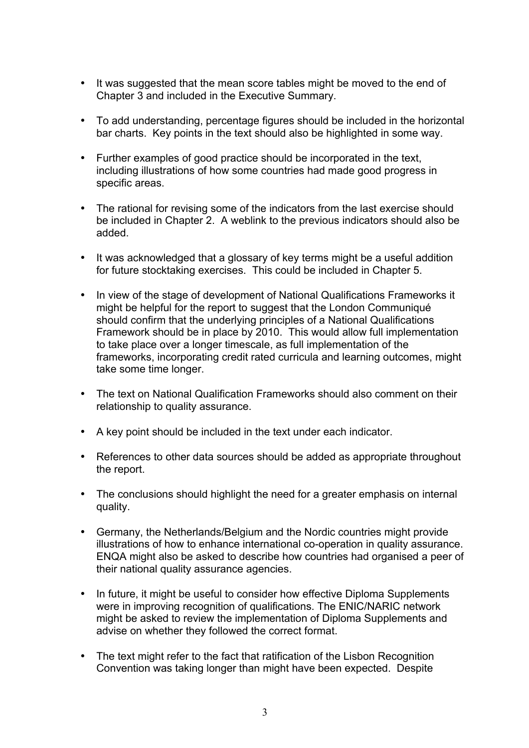- It was suggested that the mean score tables might be moved to the end of Chapter 3 and included in the Executive Summary.
- To add understanding, percentage figures should be included in the horizontal bar charts. Key points in the text should also be highlighted in some way.
- Further examples of good practice should be incorporated in the text, including illustrations of how some countries had made good progress in specific areas.
- The rational for revising some of the indicators from the last exercise should be included in Chapter 2. A weblink to the previous indicators should also be added.
- It was acknowledged that a glossary of key terms might be a useful addition for future stocktaking exercises. This could be included in Chapter 5.
- In view of the stage of development of National Qualifications Frameworks it might be helpful for the report to suggest that the London Communiqué should confirm that the underlying principles of a National Qualifications Framework should be in place by 2010. This would allow full implementation to take place over a longer timescale, as full implementation of the frameworks, incorporating credit rated curricula and learning outcomes, might take some time longer.
- The text on National Qualification Frameworks should also comment on their relationship to quality assurance.
- A key point should be included in the text under each indicator.
- References to other data sources should be added as appropriate throughout the report.
- The conclusions should highlight the need for a greater emphasis on internal quality.
- Germany, the Netherlands/Belgium and the Nordic countries might provide illustrations of how to enhance international co-operation in quality assurance. ENQA might also be asked to describe how countries had organised a peer of their national quality assurance agencies.
- In future, it might be useful to consider how effective Diploma Supplements were in improving recognition of qualifications. The ENIC/NARIC network might be asked to review the implementation of Diploma Supplements and advise on whether they followed the correct format.
- The text might refer to the fact that ratification of the Lisbon Recognition Convention was taking longer than might have been expected. Despite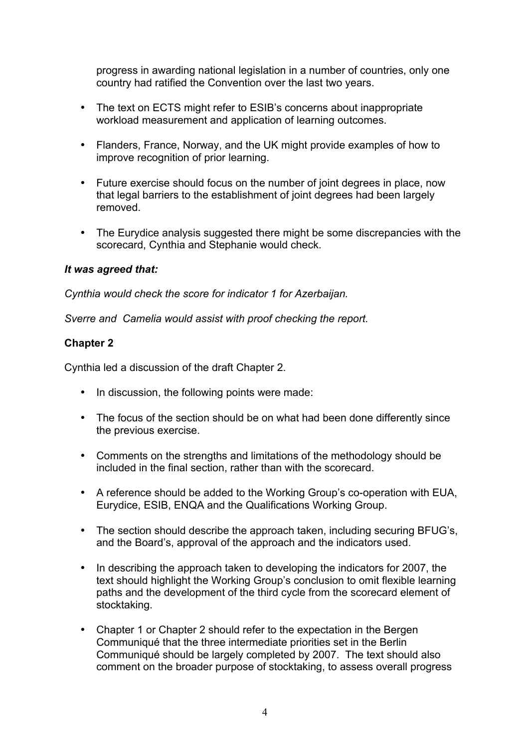progress in awarding national legislation in a number of countries, only one country had ratified the Convention over the last two years.

- The text on ECTS might refer to ESIB's concerns about inappropriate workload measurement and application of learning outcomes.
- Flanders, France, Norway, and the UK might provide examples of how to improve recognition of prior learning.
- Future exercise should focus on the number of joint degrees in place, now that legal barriers to the establishment of joint degrees had been largely removed.
- The Eurydice analysis suggested there might be some discrepancies with the scorecard, Cynthia and Stephanie would check.

### *It was agreed that:*

*Cynthia would check the score for indicator 1 for Azerbaijan.* 

*Sverre and Camelia would assist with proof checking the report.* 

### **Chapter 2**

Cynthia led a discussion of the draft Chapter 2.

- In discussion, the following points were made:
- The focus of the section should be on what had been done differently since the previous exercise.
- Comments on the strengths and limitations of the methodology should be included in the final section, rather than with the scorecard.
- A reference should be added to the Working Group's co-operation with EUA, Eurydice, ESIB, ENQA and the Qualifications Working Group.
- The section should describe the approach taken, including securing BFUG's, and the Board's, approval of the approach and the indicators used.
- In describing the approach taken to developing the indicators for 2007, the text should highlight the Working Group's conclusion to omit flexible learning paths and the development of the third cycle from the scorecard element of stocktaking.
- Chapter 1 or Chapter 2 should refer to the expectation in the Bergen Communiqué that the three intermediate priorities set in the Berlin Communiqué should be largely completed by 2007. The text should also comment on the broader purpose of stocktaking, to assess overall progress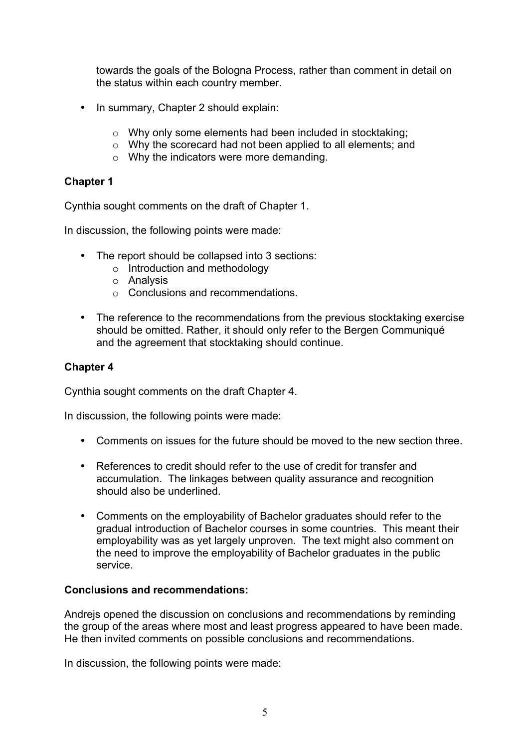towards the goals of the Bologna Process, rather than comment in detail on the status within each country member.

- In summary, Chapter 2 should explain:
	- o Why only some elements had been included in stocktaking;
	- o Why the scorecard had not been applied to all elements; and
	- o Why the indicators were more demanding.

# **Chapter 1**

Cynthia sought comments on the draft of Chapter 1.

In discussion, the following points were made:

- The report should be collapsed into 3 sections:
	- o Introduction and methodology
	- o Analysis
	- o Conclusions and recommendations.
- The reference to the recommendations from the previous stocktaking exercise should be omitted. Rather, it should only refer to the Bergen Communiqué and the agreement that stocktaking should continue.

### **Chapter 4**

Cynthia sought comments on the draft Chapter 4.

In discussion, the following points were made:

- Comments on issues for the future should be moved to the new section three.
- References to credit should refer to the use of credit for transfer and accumulation. The linkages between quality assurance and recognition should also be underlined.
- Comments on the employability of Bachelor graduates should refer to the gradual introduction of Bachelor courses in some countries. This meant their employability was as yet largely unproven. The text might also comment on the need to improve the employability of Bachelor graduates in the public service.

#### **Conclusions and recommendations:**

Andrejs opened the discussion on conclusions and recommendations by reminding the group of the areas where most and least progress appeared to have been made. He then invited comments on possible conclusions and recommendations.

In discussion, the following points were made: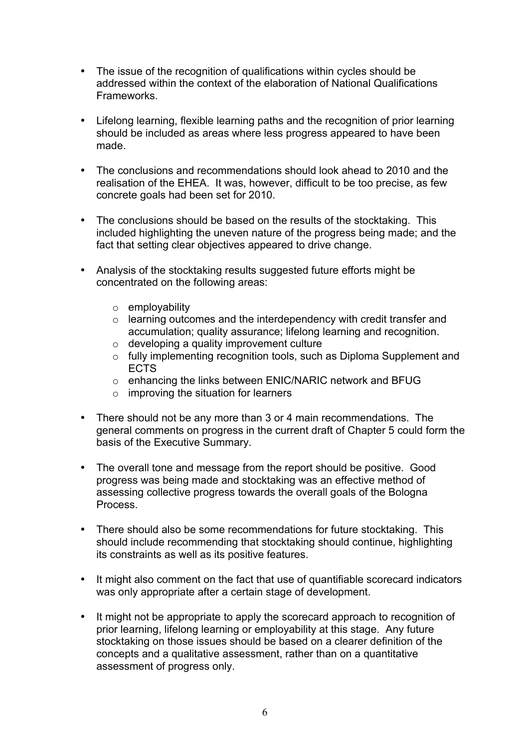- The issue of the recognition of qualifications within cycles should be addressed within the context of the elaboration of National Qualifications **Frameworks**
- Lifelong learning, flexible learning paths and the recognition of prior learning should be included as areas where less progress appeared to have been made.
- The conclusions and recommendations should look ahead to 2010 and the realisation of the EHEA. It was, however, difficult to be too precise, as few concrete goals had been set for 2010.
- The conclusions should be based on the results of the stocktaking. This included highlighting the uneven nature of the progress being made; and the fact that setting clear objectives appeared to drive change.
- Analysis of the stocktaking results suggested future efforts might be concentrated on the following areas:
	- o employability
	- o learning outcomes and the interdependency with credit transfer and accumulation; quality assurance; lifelong learning and recognition.
	- o developing a quality improvement culture
	- o fully implementing recognition tools, such as Diploma Supplement and ECTS
	- o enhancing the links between ENIC/NARIC network and BFUG
	- o improving the situation for learners
- There should not be any more than 3 or 4 main recommendations. The general comments on progress in the current draft of Chapter 5 could form the basis of the Executive Summary.
- The overall tone and message from the report should be positive. Good progress was being made and stocktaking was an effective method of assessing collective progress towards the overall goals of the Bologna Process.
- There should also be some recommendations for future stocktaking. This should include recommending that stocktaking should continue, highlighting its constraints as well as its positive features.
- It might also comment on the fact that use of quantifiable scorecard indicators was only appropriate after a certain stage of development.
- It might not be appropriate to apply the scorecard approach to recognition of prior learning, lifelong learning or employability at this stage. Any future stocktaking on those issues should be based on a clearer definition of the concepts and a qualitative assessment, rather than on a quantitative assessment of progress only.